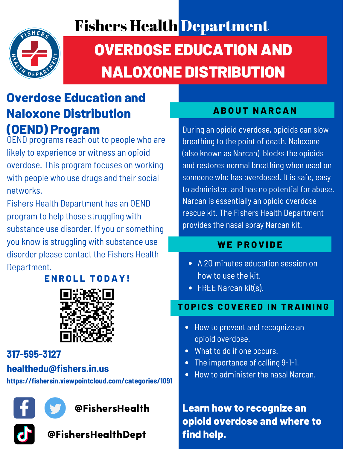## Fishers Health Department



# OVERDOSE EDUCATION AND NALOXONE DISTRIBUTION

## **Overdose Education and Naloxone Distribution (OEND) Program**

OEND programs reach out to people who are likely to experience or witness an opioid overdose. This program focuses on working with people who use drugs and their social networks.

Fishers Health Department has an OEND program to help those struggling with substance use disorder. If you or something you know is struggling with substance use disorder please contact the Fishers Health Department.

**E N R O L L T O DAY !**



### **317-595-3127**

### **healthedu@fishers.in.us**

**https://fishersin.viewpointcloud.com/categories/1091**



### **AB O U T NAR CAN**

During an opioid overdose, opioids can slow breathing to the point of death. Naloxone (also known as Narcan) blocks the opioids and restores normal breathing when used on someone who has overdosed. It is safe, easy to administer, and has no potential for abuse. Narcan is essentially an opioid overdose rescue kit. The Fishers Health Department provides the nasal spray Narcan kit.

### **W E P R O V I D E**

- A 20 minutes education session on how to use the kit.
- FREE Narcan kit(s).

### **T O P I C S C O V E R E D I N T RAI N I N G**

- How to prevent and recognize an opioid overdose.
- What to do if one occurs.
- The importance of calling 9-1-1.
- How to administer the nasal Narcan.  $\bullet$

**Learn how to recognize an opioid overdose and where to find help.**